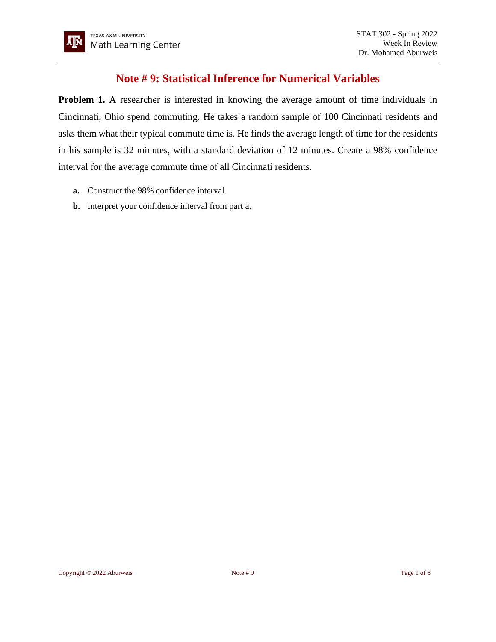## **Note # 9: Statistical Inference for Numerical Variables**

**Problem 1.** A researcher is interested in knowing the average amount of time individuals in Cincinnati, Ohio spend commuting. He takes a random sample of 100 Cincinnati residents and asks them what their typical commute time is. He finds the average length of time for the residents in his sample is 32 minutes, with a standard deviation of 12 minutes. Create a 98% confidence interval for the average commute time of all Cincinnati residents.

- **a.** Construct the 98% confidence interval.
- **b.** Interpret your confidence interval from part a.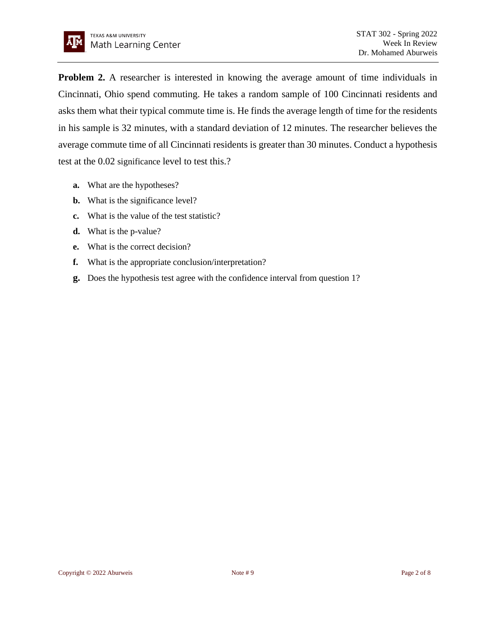**Problem 2.** A researcher is interested in knowing the average amount of time individuals in Cincinnati, Ohio spend commuting. He takes a random sample of 100 Cincinnati residents and asks them what their typical commute time is. He finds the average length of time for the residents in his sample is 32 minutes, with a standard deviation of 12 minutes. The researcher believes the average commute time of all Cincinnati residents is greater than 30 minutes. Conduct a hypothesis test at the 0.02 significance level to test this.?

- **a.** What are the hypotheses?
- **b.** What is the significance level?
- **c.** What is the value of the test statistic?
- **d.** What is the p-value?
- **e.** What is the correct decision?
- **f.** What is the appropriate conclusion/interpretation?
- **g.** Does the hypothesis test agree with the confidence interval from question 1?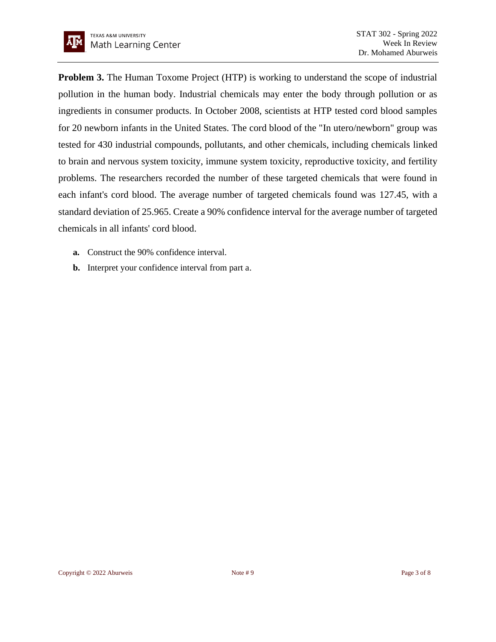**Problem 3.** The Human Toxome Project (HTP) is working to understand the scope of industrial pollution in the human body. Industrial chemicals may enter the body through pollution or as ingredients in consumer products. In October 2008, scientists at HTP tested cord blood samples for 20 newborn infants in the United States. The cord blood of the "In utero/newborn" group was tested for 430 industrial compounds, pollutants, and other chemicals, including chemicals linked to brain and nervous system toxicity, immune system toxicity, reproductive toxicity, and fertility problems. The researchers recorded the number of these targeted chemicals that were found in each infant's cord blood. The average number of targeted chemicals found was 127.45, with a standard deviation of 25.965. Create a 90% confidence interval for the average number of targeted chemicals in all infants' cord blood.

- **a.** Construct the 90% confidence interval.
- **b.** Interpret your confidence interval from part a.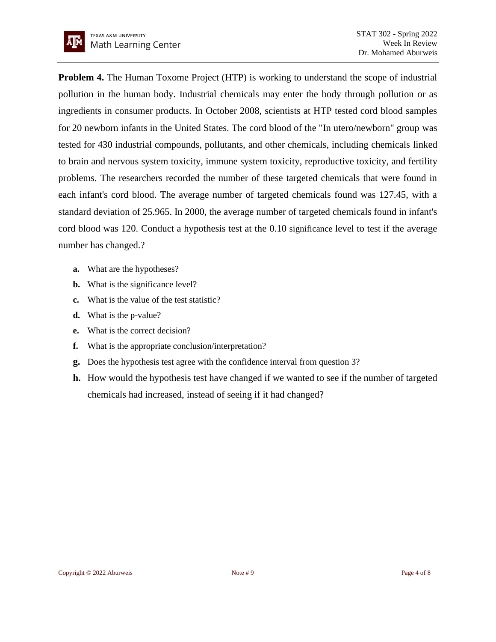**Problem 4.** The Human Toxome Project (HTP) is working to understand the scope of industrial pollution in the human body. Industrial chemicals may enter the body through pollution or as ingredients in consumer products. In October 2008, scientists at HTP tested cord blood samples for 20 newborn infants in the United States. The cord blood of the "In utero/newborn" group was tested for 430 industrial compounds, pollutants, and other chemicals, including chemicals linked to brain and nervous system toxicity, immune system toxicity, reproductive toxicity, and fertility problems. The researchers recorded the number of these targeted chemicals that were found in each infant's cord blood. The average number of targeted chemicals found was 127.45, with a standard deviation of 25.965. In 2000, the average number of targeted chemicals found in infant's cord blood was 120. Conduct a hypothesis test at the 0.10 significance level to test if the average number has changed.?

- **a.** What are the hypotheses?
- **b.** What is the significance level?
- **c.** What is the value of the test statistic?
- **d.** What is the p-value?
- **e.** What is the correct decision?
- **f.** What is the appropriate conclusion/interpretation?
- **g.** Does the hypothesis test agree with the confidence interval from question 3?
- **h.** How would the hypothesis test have changed if we wanted to see if the number of targeted chemicals had increased, instead of seeing if it had changed?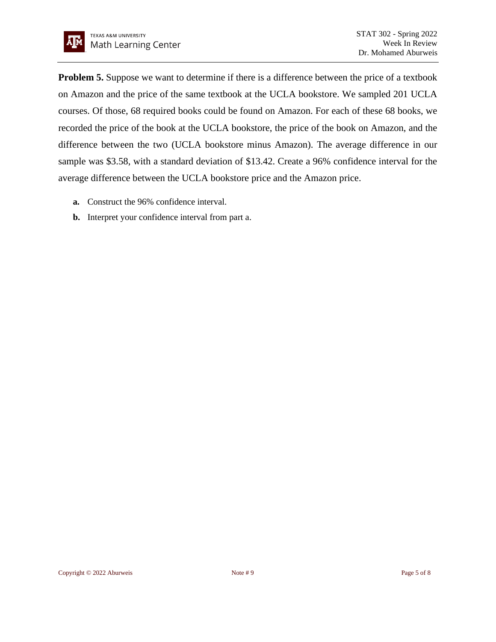

**Problem 5.** Suppose we want to determine if there is a difference between the price of a textbook on Amazon and the price of the same textbook at the UCLA bookstore. We sampled 201 UCLA courses. Of those, 68 required books could be found on Amazon. For each of these 68 books, we recorded the price of the book at the UCLA bookstore, the price of the book on Amazon, and the difference between the two (UCLA bookstore minus Amazon). The average difference in our sample was \$3.58, with a standard deviation of \$13.42. Create a 96% confidence interval for the average difference between the UCLA bookstore price and the Amazon price.

- **a.** Construct the 96% confidence interval.
- **b.** Interpret your confidence interval from part a.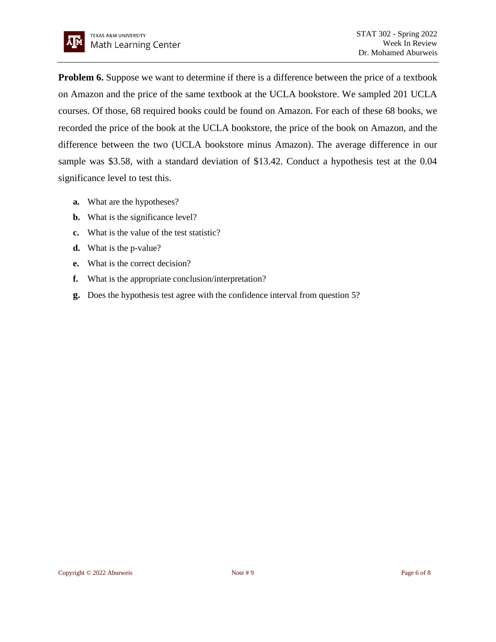

**Problem 6.** Suppose we want to determine if there is a difference between the price of a textbook on Amazon and the price of the same textbook at the UCLA bookstore. We sampled 201 UCLA courses. Of those, 68 required books could be found on Amazon. For each of these 68 books, we recorded the price of the book at the UCLA bookstore, the price of the book on Amazon, and the difference between the two (UCLA bookstore minus Amazon). The average difference in our sample was \$3.58, with a standard deviation of \$13.42. Conduct a hypothesis test at the 0.04 significance level to test this.

- **a.** What are the hypotheses?
- **b.** What is the significance level?
- **c.** What is the value of the test statistic?
- **d.** What is the p-value?
- **e.** What is the correct decision?
- **f.** What is the appropriate conclusion/interpretation?
- **g.** Does the hypothesis test agree with the confidence interval from question 5?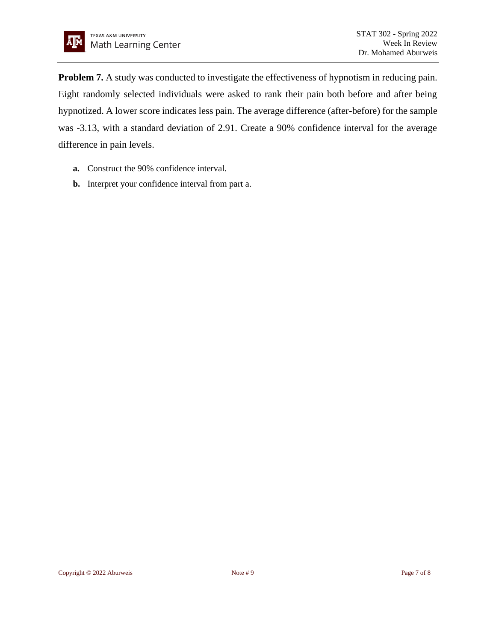**Problem 7.** A study was conducted to investigate the effectiveness of hypnotism in reducing pain. Eight randomly selected individuals were asked to rank their pain both before and after being hypnotized. A lower score indicates less pain. The average difference (after-before) for the sample was -3.13, with a standard deviation of 2.91. Create a 90% confidence interval for the average difference in pain levels.

- **a.** Construct the 90% confidence interval.
- **b.** Interpret your confidence interval from part a.